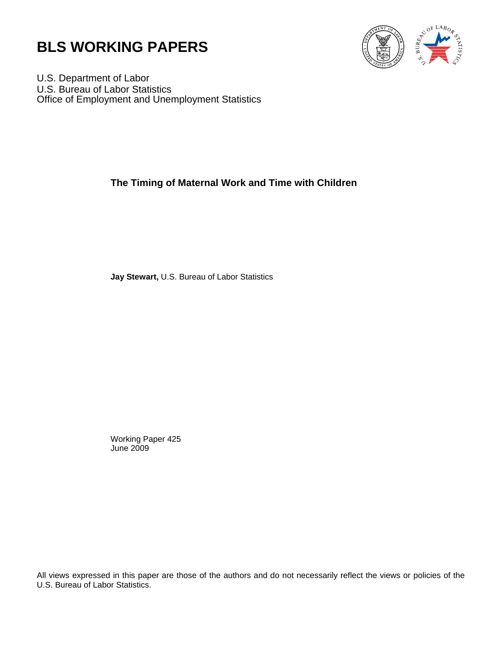



U.S. Department of Labor U.S. Bureau of Labor Statistics Office of Employment and Unemployment Statistics

# **The Timing of Maternal Work and Time with Children**

**Jay Stewart,** U.S. Bureau of Labor Statistics

Working Paper 425 June 2009

All views expressed in this paper are those of the authors and do not necessarily reflect the views or policies of the U.S. Bureau of Labor Statistics.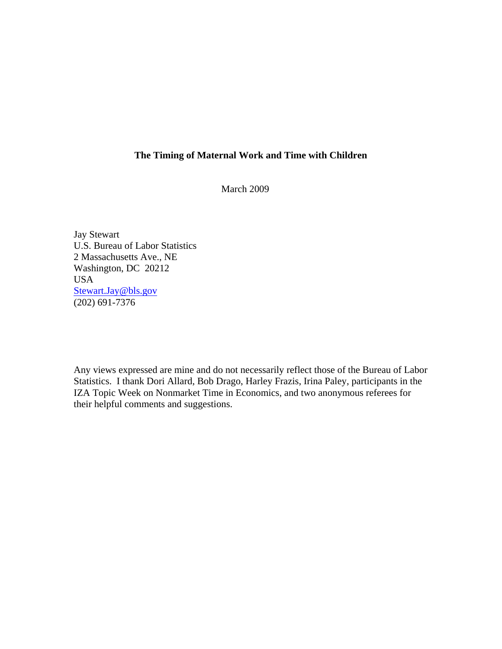# **The Timing of Maternal Work and Time with Children**

March 2009

Jay Stewart U.S. Bureau of Labor Statistics 2 Massachusetts Ave., NE Washington, DC 20212 USA Stewart.Jay@bls.gov  $(202)$  691-7376

Any views expressed are mine and do not necessarily reflect those of the Bureau of Labor Statistics. I thank Dori Allard, Bob Drago, Harley Frazis, Irina Paley, participants in the IZA Topic Week on Nonmarket Time in Economics, and two anonymous referees for their helpful comments and suggestions.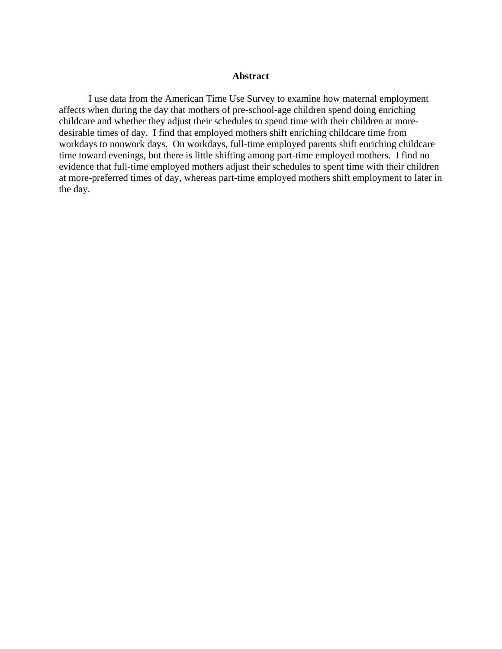### **Abstract**

I use data from the American Time Use Survey to examine how maternal employment affects when during the day that mothers of pre-school-age children spend doing enriching childcare and whether they adjust their schedules to spend time with their children at moredesirable times of day. I find that employed mothers shift enriching childcare time from workdays to nonwork days. On workdays, full-time employed parents shift enriching childcare time toward evenings, but there is little shifting among part-time employed mothers. I find no evidence that full-time employed mothers adjust their schedules to spent time with their children at more-preferred times of day, whereas part-time employed mothers shift employment to later in the day.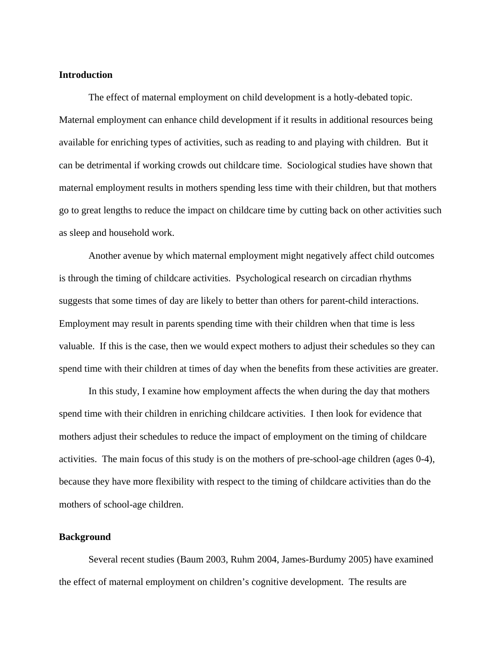## **Introduction**

The effect of maternal employment on child development is a hotly-debated topic. Maternal employment can enhance child development if it results in additional resources being available for enriching types of activities, such as reading to and playing with children. But it can be detrimental if working crowds out childcare time. Sociological studies have shown that maternal employment results in mothers spending less time with their children, but that mothers go to great lengths to reduce the impact on childcare time by cutting back on other activities such as sleep and household work.

Another avenue by which maternal employment might negatively affect child outcomes is through the timing of childcare activities. Psychological research on circadian rhythms suggests that some times of day are likely to better than others for parent-child interactions. Employment may result in parents spending time with their children when that time is less valuable. If this is the case, then we would expect mothers to adjust their schedules so they can spend time with their children at times of day when the benefits from these activities are greater.

In this study, I examine how employment affects the when during the day that mothers spend time with their children in enriching childcare activities. I then look for evidence that mothers adjust their schedules to reduce the impact of employment on the timing of childcare activities. The main focus of this study is on the mothers of pre-school-age children (ages 0-4), because they have more flexibility with respect to the timing of childcare activities than do the mothers of school-age children.

### **Background**

Several recent studies (Baum 2003, Ruhm 2004, James-Burdumy 2005) have examined the effect of maternal employment on children's cognitive development. The results are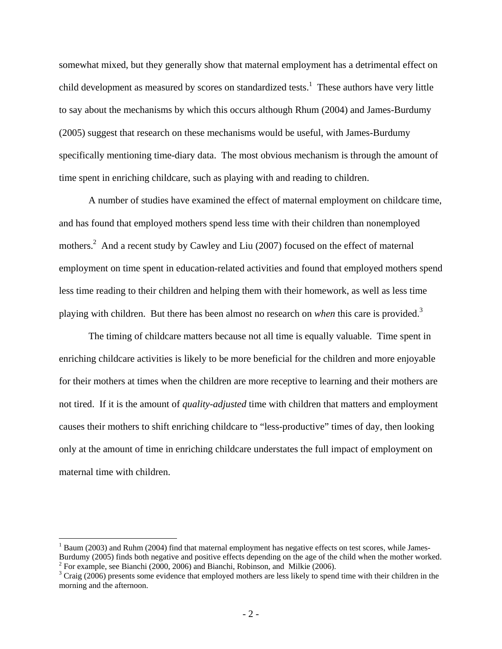somewhat mixed, but they generally show that maternal employment has a detrimental effect on child development as measured by scores on standardized tests.<sup>1</sup> These authors have very little to say about the mechanisms by which this occurs although Rhum (2004) and James-Burdumy (2005) suggest that research on these mechanisms would be useful, with James-Burdumy specifically mentioning time-diary data. The most obvious mechanism is through the amount of time spent in enriching childcare, such as playing with and reading to children.

A number of studies have examined the effect of maternal employment on childcare time, and has found that employed mothers spend less time with their children than nonemployed mothers.<sup>2</sup> And a recent study by Cawley and Liu (2007) focused on the effect of maternal employment on time spent in education-related activities and found that employed mothers spend less time reading to their children and helping them with their homework, as well as less time playing with children. But there has been almost no research on *when* this care is provided.3

The timing of childcare matters because not all time is equally valuable. Time spent in enriching childcare activities is likely to be more beneficial for the children and more enjoyable for their mothers at times when the children are more receptive to learning and their mothers are not tired. If it is the amount of *quality-adjusted* time with children that matters and employment causes their mothers to shift enriching childcare to "less-productive" times of day, then looking only at the amount of time in enriching childcare understates the full impact of employment on maternal time with children.

1

<sup>&</sup>lt;sup>1</sup> Baum (2003) and Ruhm (2004) find that maternal employment has negative effects on test scores, while James-Burdumy (2005) finds both negative and positive effects depending on the age of the child when the mother worked. 2

 $^2$  For example, see Bianchi (2000, 2006) and Bianchi, Robinson, and Milkie (2006).

 $3$  Craig (2006) presents some evidence that employed mothers are less likely to spend time with their children in the morning and the afternoon.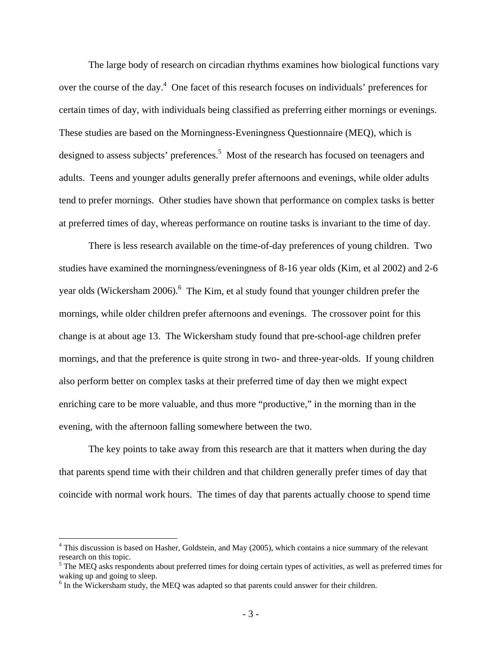The large body of research on circadian rhythms examines how biological functions vary over the course of the day.<sup>4</sup> One facet of this research focuses on individuals' preferences for certain times of day, with individuals being classified as preferring either mornings or evenings. These studies are based on the Morningness-Eveningness Questionnaire (MEQ), which is designed to assess subjects' preferences.<sup>5</sup> Most of the research has focused on teenagers and adults. Teens and younger adults generally prefer afternoons and evenings, while older adults tend to prefer mornings. Other studies have shown that performance on complex tasks is better at preferred times of day, whereas performance on routine tasks is invariant to the time of day.

There is less research available on the time-of-day preferences of young children. Two studies have examined the morningness/eveningness of 8-16 year olds (Kim, et al 2002) and 2-6 year olds (Wickersham 2006).<sup>6</sup> The Kim, et al study found that younger children prefer the mornings, while older children prefer afternoons and evenings. The crossover point for this change is at about age 13. The Wickersham study found that pre-school-age children prefer mornings, and that the preference is quite strong in two- and three-year-olds. If young children also perform better on complex tasks at their preferred time of day then we might expect enriching care to be more valuable, and thus more "productive," in the morning than in the evening, with the afternoon falling somewhere between the two.

The key points to take away from this research are that it matters when during the day that parents spend time with their children and that children generally prefer times of day that coincide with normal work hours. The times of day that parents actually choose to spend time

 $\overline{a}$ 

<sup>&</sup>lt;sup>4</sup> This discussion is based on Hasher, Goldstein, and May (2005), which contains a nice summary of the relevant research on this topic.

<sup>&</sup>lt;sup>5</sup> The MEQ asks respondents about preferred times for doing certain types of activities, as well as preferred times for waking up and going to sleep.

<sup>&</sup>lt;sup>6</sup> In the Wickersham study, the MEQ was adapted so that parents could answer for their children.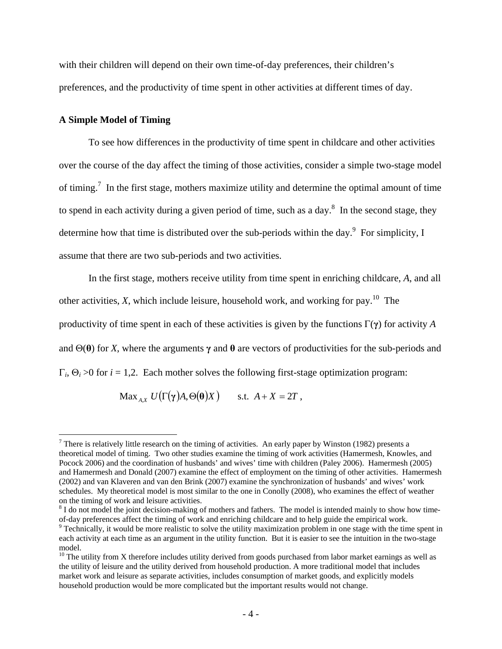with their children will depend on their own time-of-day preferences, their children's preferences, and the productivity of time spent in other activities at different times of day.

### **A Simple Model of Timing**

 $\overline{a}$ 

 To see how differences in the productivity of time spent in childcare and other activities over the course of the day affect the timing of those activities, consider a simple two-stage model of timing.<sup>7</sup> In the first stage, mothers maximize utility and determine the optimal amount of time to spend in each activity during a given period of time, such as a day.<sup>8</sup> In the second stage, they determine how that time is distributed over the sub-periods within the day.<sup>9</sup> For simplicity, I assume that there are two sub-periods and two activities.

In the first stage, mothers receive utility from time spent in enriching childcare, *A*, and all other activities,  $X$ , which include leisure, household work, and working for pay.<sup>10</sup> The productivity of time spent in each of these activities is given by the functions Γ(**γ**) for activity *A* and  $\Theta(\theta)$  for *X*, where the arguments  $\gamma$  and  $\theta$  are vectors of productivities for the sub-periods and  $\Gamma_i$ ,  $\Theta_i$  >0 for *i* = 1,2. Each mother solves the following first-stage optimization program:

$$
\text{Max}_{A,X} U\big(\Gamma(\gamma)A, \Theta(\theta)X\big) \quad \text{ s.t. } A+X=2T \ ,
$$

<sup>&</sup>lt;sup>7</sup> There is relatively little research on the timing of activities. An early paper by Winston (1982) presents a theoretical model of timing. Two other studies examine the timing of work activities (Hamermesh, Knowles, and Pocock 2006) and the coordination of husbands' and wives' time with children (Paley 2006). Hamermesh (2005) and Hamermesh and Donald (2007) examine the effect of employment on the timing of other activities. Hamermesh (2002) and van Klaveren and van den Brink (2007) examine the synchronization of husbands' and wives' work schedules. My theoretical model is most similar to the one in Conolly (2008), who examines the effect of weather on the timing of work and leisure activities.

 $8$  I do not model the joint decision-making of mothers and fathers. The model is intended mainly to show how timeof-day preferences affect the timing of work and enriching childcare and to help guide the empirical work. 9

 $\degree$  Technically, it would be more realistic to solve the utility maximization problem in one stage with the time spent in each activity at each time as an argument in the utility function. But it is easier to see the intuition in the two-stage model.

 $10$  The utility from X therefore includes utility derived from goods purchased from labor market earnings as well as the utility of leisure and the utility derived from household production. A more traditional model that includes market work and leisure as separate activities, includes consumption of market goods, and explicitly models household production would be more complicated but the important results would not change.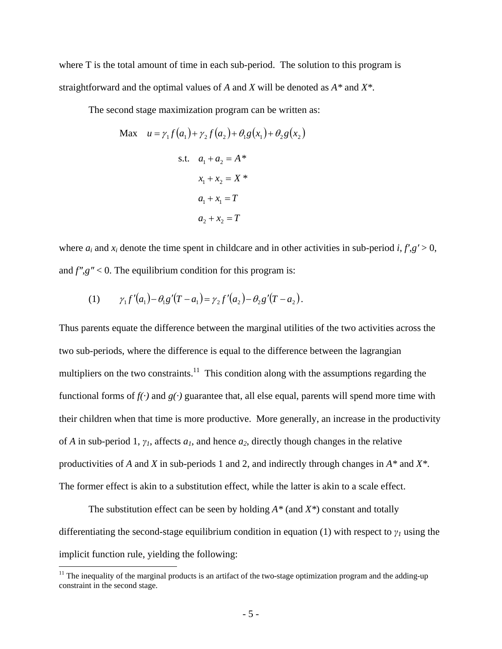where T is the total amount of time in each sub-period. The solution to this program is straightforward and the optimal values of *A* and *X* will be denoted as *A\** and *X\**.

The second stage maximization program can be written as:

Max 
$$
u = \gamma_1 f(a_1) + \gamma_2 f(a_2) + \theta_1 g(x_1) + \theta_2 g(x_2)
$$
  
s.t.  $a_1 + a_2 = A^*$   
 $x_1 + x_2 = X^*$   
 $a_1 + x_1 = T$   
 $a_2 + x_2 = T$ 

where  $a_i$  and  $x_i$  denote the time spent in childcare and in other activities in sub-period *i*,  $f'$ , $g' > 0$ , and *f″*,*g″* < 0. The equilibrium condition for this program is:

(1) 
$$
\gamma_1 f'(a_1) - \theta_1 g'(T - a_1) = \gamma_2 f'(a_2) - \theta_2 g'(T - a_2).
$$

Thus parents equate the difference between the marginal utilities of the two activities across the two sub-periods, where the difference is equal to the difference between the lagrangian multipliers on the two constraints.<sup>11</sup> This condition along with the assumptions regarding the functional forms of  $f(\cdot)$  and  $g(\cdot)$  guarantee that, all else equal, parents will spend more time with their children when that time is more productive. More generally, an increase in the productivity of *A* in sub-period 1,  $\gamma$ <sup>*I*</sup>, affects  $a$ <sup>*I*</sup>, and hence  $a$ <sup>2</sup>, directly though changes in the relative productivities of *A* and *X* in sub-periods 1 and 2, and indirectly through changes in *A\** and *X\**. The former effect is akin to a substitution effect, while the latter is akin to a scale effect.

The substitution effect can be seen by holding *A\** (and *X\**) constant and totally differentiating the second-stage equilibrium condition in equation (1) with respect to *γ1* using the implicit function rule, yielding the following:

 $\overline{a}$ 

 $11$  The inequality of the marginal products is an artifact of the two-stage optimization program and the adding-up constraint in the second stage.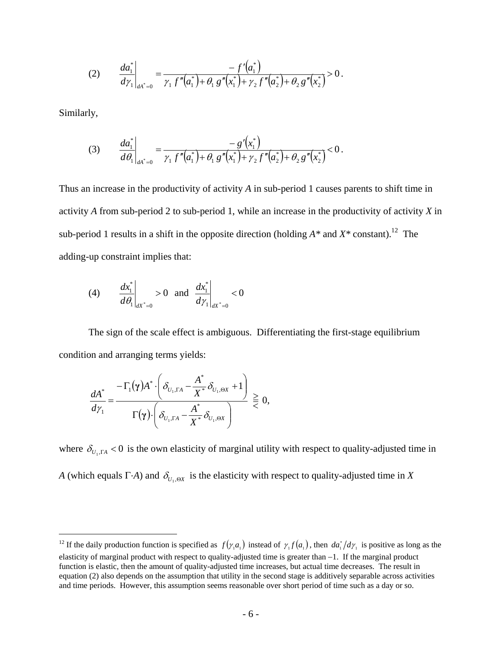(2) 
$$
\frac{da_1^*}{d\gamma_1}\bigg|_{dA^*=0} = \frac{-f'(a_1^*)}{\gamma_1 f''(a_1^*) + \theta_1 g''(x_1^*) + \gamma_2 f''(a_2^*) + \theta_2 g''(x_2^*)} > 0.
$$

Similarly,

 $\overline{a}$ 

(3) 
$$
\frac{da_1^*}{d\theta_1}\Big|_{da^*=0} = \frac{-g'(x_1^*)}{\gamma_1 f''(a_1^*) + \theta_1 g''(x_1^*) + \gamma_2 f''(a_2^*) + \theta_2 g''(x_2^*)} < 0.
$$

Thus an increase in the productivity of activity *A* in sub-period 1 causes parents to shift time in activity *A* from sub-period 2 to sub-period 1, while an increase in the productivity of activity *X* in sub-period 1 results in a shift in the opposite direction (holding  $A^*$  and  $X^*$  constant).<sup>12</sup> The adding-up constraint implies that:

(4) 
$$
\frac{dx_1^*}{d\theta_1}\Big|_{dX^*=0} > 0
$$
 and  $\frac{dx_1^*}{d\gamma_1}\Big|_{dX^*=0} < 0$ 

 The sign of the scale effect is ambiguous. Differentiating the first-stage equilibrium condition and arranging terms yields:

$$
\frac{dA^*}{d\gamma_1} = \frac{-\Gamma_1(\gamma)A^*\cdot\left(\delta_{U_1,\Gamma A}-\frac{A^*}{X^*}\delta_{U_1,\Theta X}+1\right)}{\Gamma(\gamma)\cdot\left(\delta_{U_1,\Gamma A}-\frac{A^*}{X^*}\delta_{U_1,\Theta X}\right)} \gtreqless 0,
$$

where  $\delta_{U, \Gamma A}$  < 0 is the own elasticity of marginal utility with respect to quality-adjusted time in *A* (which equals Γ·*A*) and  $\delta_{U_1,\Theta X}$  is the elasticity with respect to quality-adjusted time in *X* 

<sup>&</sup>lt;sup>12</sup> If the daily production function is specified as  $f(\gamma_1 a_1)$  instead of  $\gamma_1 f(a_1)$ , then  $da_1^* / d\gamma_1$  is positive as long as the elasticity of marginal product with respect to quality-adjusted time is greater than −1. If the marginal product function is elastic, then the amount of quality-adjusted time increases, but actual time decreases. The result in equation (2) also depends on the assumption that utility in the second stage is additively separable across activities and time periods. However, this assumption seems reasonable over short period of time such as a day or so.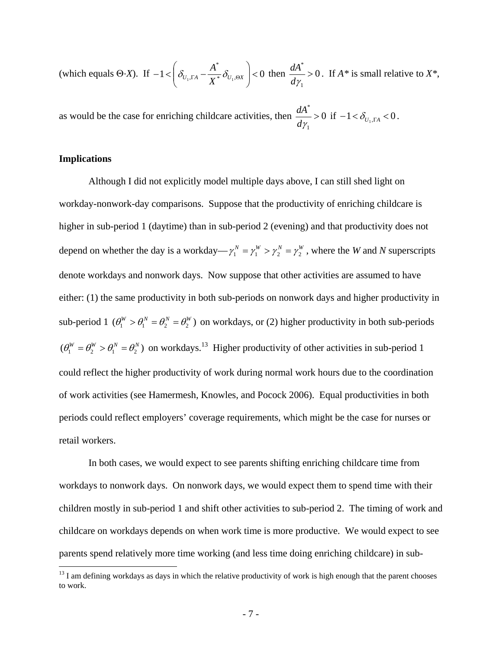(which equals  $\Theta$ *·X*). If  $-1 < \left| \delta_{U_1,\Gamma A} - \frac{H}{\mathbf{v}^*} \delta_{U_1,\Theta X} \right| < 0$ \*  $\int_{1,\Gamma A} -\frac{\Lambda}{\mathbf{Y}^*}\delta_{U_1,\Theta X}\;\;\Big| \! <\!$ ⎠ ⎞  $\overline{\phantom{a}}$  $-1 < \left(\delta_{U_1,\Gamma A} - \frac{A^*}{X^*} \delta_{U_1,\Theta X}\right) < 0$  then  $\frac{dA^*}{d\gamma_1} > 0$ 1 \* > *d*<sup>γ</sup>  $\frac{dA^*}{dt} > 0$ . If *A*<sup>\*</sup> is small relative to *X*<sup>\*</sup>,

as would be the case for enriching childcare activities, then  $\frac{du}{dx} > 0$ 1 \* >  $\frac{dA^*}{dy_1} > 0$  if  $-1 < \delta_{U_1, \Gamma A} < 0$ .

## **Implications**

 $\overline{a}$ 

Although I did not explicitly model multiple days above, I can still shed light on workday-nonwork-day comparisons. Suppose that the productivity of enriching childcare is higher in sub-period 1 (daytime) than in sub-period 2 (evening) and that productivity does not depend on whether the day is a workday— $\gamma_1^N = \gamma_1^W > \gamma_2^N = \gamma_2^W$ , where the *W* and *N* superscripts denote workdays and nonwork days. Now suppose that other activities are assumed to have either: (1) the same productivity in both sub-periods on nonwork days and higher productivity in sub-period 1  $(\theta_1^W > \theta_1^N = \theta_2^N = \theta_2^W)$  on workdays, or (2) higher productivity in both sub-periods  $(\theta_1^W = \theta_2^W > \theta_1^N = \theta_2^N)$  on workdays.<sup>13</sup> Higher productivity of other activities in sub-period 1 could reflect the higher productivity of work during normal work hours due to the coordination of work activities (see Hamermesh, Knowles, and Pocock 2006). Equal productivities in both periods could reflect employers' coverage requirements, which might be the case for nurses or retail workers.

In both cases, we would expect to see parents shifting enriching childcare time from workdays to nonwork days. On nonwork days, we would expect them to spend time with their children mostly in sub-period 1 and shift other activities to sub-period 2. The timing of work and childcare on workdays depends on when work time is more productive. We would expect to see parents spend relatively more time working (and less time doing enriching childcare) in sub-

 $<sup>13</sup>$  I am defining workdays as days in which the relative productivity of work is high enough that the parent chooses</sup> to work.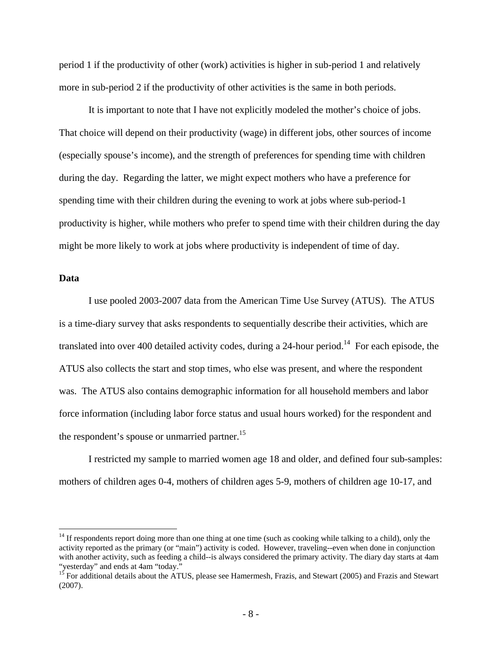period 1 if the productivity of other (work) activities is higher in sub-period 1 and relatively more in sub-period 2 if the productivity of other activities is the same in both periods.

It is important to note that I have not explicitly modeled the mother's choice of jobs. That choice will depend on their productivity (wage) in different jobs, other sources of income (especially spouse's income), and the strength of preferences for spending time with children during the day. Regarding the latter, we might expect mothers who have a preference for spending time with their children during the evening to work at jobs where sub-period-1 productivity is higher, while mothers who prefer to spend time with their children during the day might be more likely to work at jobs where productivity is independent of time of day.

## **Data**

 $\overline{a}$ 

 I use pooled 2003-2007 data from the American Time Use Survey (ATUS). The ATUS is a time-diary survey that asks respondents to sequentially describe their activities, which are translated into over 400 detailed activity codes, during a 24-hour period.<sup>14</sup> For each episode, the ATUS also collects the start and stop times, who else was present, and where the respondent was. The ATUS also contains demographic information for all household members and labor force information (including labor force status and usual hours worked) for the respondent and the respondent's spouse or unmarried partner.<sup>15</sup>

I restricted my sample to married women age 18 and older, and defined four sub-samples: mothers of children ages 0-4, mothers of children ages 5-9, mothers of children age 10-17, and

<sup>&</sup>lt;sup>14</sup> If respondents report doing more than one thing at one time (such as cooking while talking to a child), only the activity reported as the primary (or "main") activity is coded. However, traveling--even when done in conjunction with another activity, such as feeding a child--is always considered the primary activity. The diary day starts at 4am "yesterday" and ends at 4am "today."

<sup>&</sup>lt;sup>15</sup> For additional details about the ATUS, please see Hamermesh, Frazis, and Stewart (2005) and Frazis and Stewart (2007).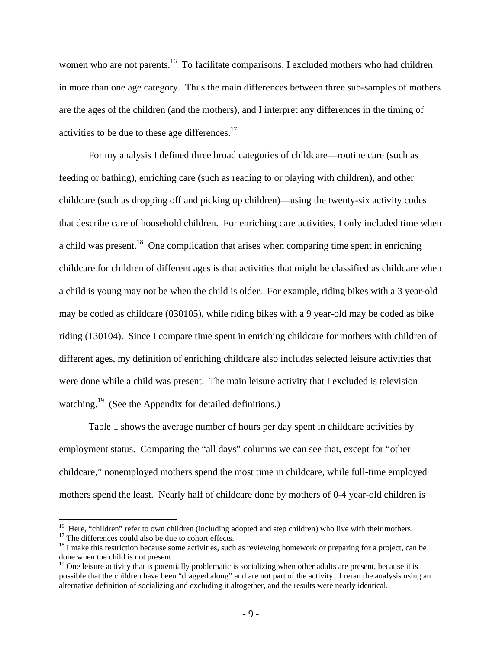women who are not parents.<sup>16</sup> To facilitate comparisons, I excluded mothers who had children in more than one age category. Thus the main differences between three sub-samples of mothers are the ages of the children (and the mothers), and I interpret any differences in the timing of activities to be due to these age differences.17

For my analysis I defined three broad categories of childcare—routine care (such as feeding or bathing), enriching care (such as reading to or playing with children), and other childcare (such as dropping off and picking up children)—using the twenty-six activity codes that describe care of household children. For enriching care activities, I only included time when a child was present.<sup>18</sup> One complication that arises when comparing time spent in enriching childcare for children of different ages is that activities that might be classified as childcare when a child is young may not be when the child is older. For example, riding bikes with a 3 year-old may be coded as childcare (030105), while riding bikes with a 9 year-old may be coded as bike riding (130104). Since I compare time spent in enriching childcare for mothers with children of different ages, my definition of enriching childcare also includes selected leisure activities that were done while a child was present. The main leisure activity that I excluded is television watching.<sup>19</sup> (See the Appendix for detailed definitions.)

Table 1 shows the average number of hours per day spent in childcare activities by employment status. Comparing the "all days" columns we can see that, except for "other childcare," nonemployed mothers spend the most time in childcare, while full-time employed mothers spend the least. Nearly half of childcare done by mothers of 0-4 year-old children is

<u>.</u>

<sup>&</sup>lt;sup>16</sup> Here, "children" refer to own children (including adopted and step children) who live with their mothers.<br><sup>17</sup> The differences could also be due to cohort effects.<br><sup>18</sup> I make this restriction because some activities

done when the child is not present.

 $19$  One leisure activity that is potentially problematic is socializing when other adults are present, because it is possible that the children have been "dragged along" and are not part of the activity. I reran the analysis using an alternative definition of socializing and excluding it altogether, and the results were nearly identical.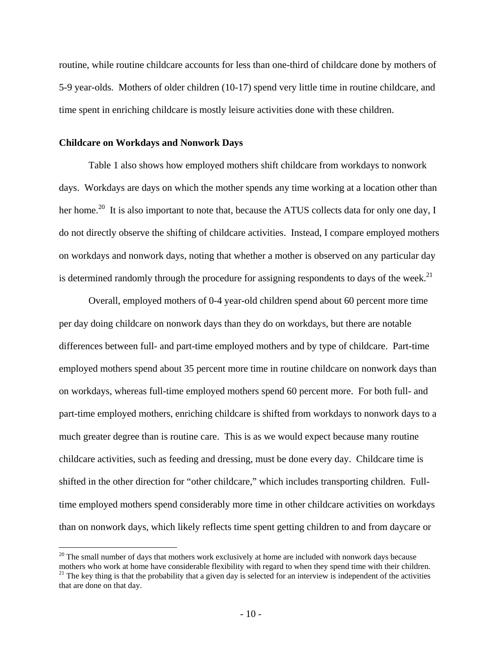routine, while routine childcare accounts for less than one-third of childcare done by mothers of 5-9 year-olds. Mothers of older children (10-17) spend very little time in routine childcare, and time spent in enriching childcare is mostly leisure activities done with these children.

## **Childcare on Workdays and Nonwork Days**

 $\overline{a}$ 

Table 1 also shows how employed mothers shift childcare from workdays to nonwork days. Workdays are days on which the mother spends any time working at a location other than her home.<sup>20</sup> It is also important to note that, because the ATUS collects data for only one day, I do not directly observe the shifting of childcare activities. Instead, I compare employed mothers on workdays and nonwork days, noting that whether a mother is observed on any particular day is determined randomly through the procedure for assigning respondents to days of the week.<sup>21</sup>

Overall, employed mothers of 0-4 year-old children spend about 60 percent more time per day doing childcare on nonwork days than they do on workdays, but there are notable differences between full- and part-time employed mothers and by type of childcare. Part-time employed mothers spend about 35 percent more time in routine childcare on nonwork days than on workdays, whereas full-time employed mothers spend 60 percent more. For both full- and part-time employed mothers, enriching childcare is shifted from workdays to nonwork days to a much greater degree than is routine care. This is as we would expect because many routine childcare activities, such as feeding and dressing, must be done every day. Childcare time is shifted in the other direction for "other childcare," which includes transporting children. Fulltime employed mothers spend considerably more time in other childcare activities on workdays than on nonwork days, which likely reflects time spent getting children to and from daycare or

 $20$  The small number of days that mothers work exclusively at home are included with nonwork days because mothers who work at home have considerable flexibility with regard to when they spend time with their children.

 $21$  The key thing is that the probability that a given day is selected for an interview is independent of the activities that are done on that day.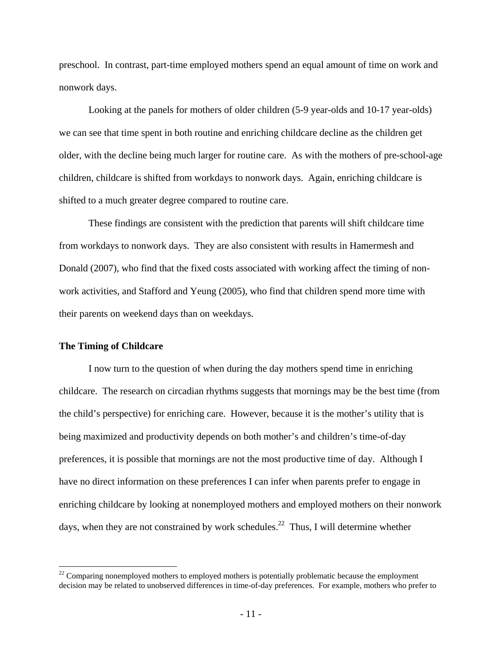preschool. In contrast, part-time employed mothers spend an equal amount of time on work and nonwork days.

Looking at the panels for mothers of older children (5-9 year-olds and 10-17 year-olds) we can see that time spent in both routine and enriching childcare decline as the children get older, with the decline being much larger for routine care. As with the mothers of pre-school-age children, childcare is shifted from workdays to nonwork days. Again, enriching childcare is shifted to a much greater degree compared to routine care.

These findings are consistent with the prediction that parents will shift childcare time from workdays to nonwork days. They are also consistent with results in Hamermesh and Donald (2007), who find that the fixed costs associated with working affect the timing of nonwork activities, and Stafford and Yeung (2005), who find that children spend more time with their parents on weekend days than on weekdays.

#### **The Timing of Childcare**

1

 I now turn to the question of when during the day mothers spend time in enriching childcare. The research on circadian rhythms suggests that mornings may be the best time (from the child's perspective) for enriching care. However, because it is the mother's utility that is being maximized and productivity depends on both mother's and children's time-of-day preferences, it is possible that mornings are not the most productive time of day. Although I have no direct information on these preferences I can infer when parents prefer to engage in enriching childcare by looking at nonemployed mothers and employed mothers on their nonwork days, when they are not constrained by work schedules.<sup>22</sup> Thus, I will determine whether

 $22$  Comparing nonemployed mothers to employed mothers is potentially problematic because the employment decision may be related to unobserved differences in time-of-day preferences. For example, mothers who prefer to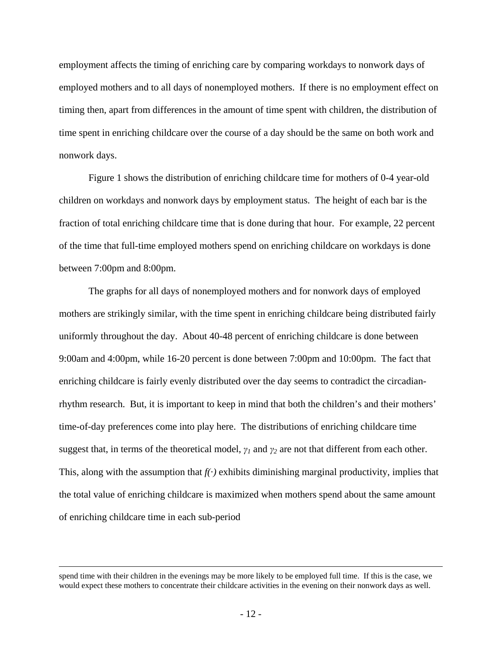employment affects the timing of enriching care by comparing workdays to nonwork days of employed mothers and to all days of nonemployed mothers. If there is no employment effect on timing then, apart from differences in the amount of time spent with children, the distribution of time spent in enriching childcare over the course of a day should be the same on both work and nonwork days.

 Figure 1 shows the distribution of enriching childcare time for mothers of 0-4 year-old children on workdays and nonwork days by employment status. The height of each bar is the fraction of total enriching childcare time that is done during that hour. For example, 22 percent of the time that full-time employed mothers spend on enriching childcare on workdays is done between 7:00pm and 8:00pm.

 The graphs for all days of nonemployed mothers and for nonwork days of employed mothers are strikingly similar, with the time spent in enriching childcare being distributed fairly uniformly throughout the day. About 40-48 percent of enriching childcare is done between 9:00am and 4:00pm, while 16-20 percent is done between 7:00pm and 10:00pm. The fact that enriching childcare is fairly evenly distributed over the day seems to contradict the circadianrhythm research. But, it is important to keep in mind that both the children's and their mothers' time-of-day preferences come into play here. The distributions of enriching childcare time suggest that, in terms of the theoretical model,  $\gamma_I$  and  $\gamma_2$  are not that different from each other. This, along with the assumption that  $f(\cdot)$  exhibits diminishing marginal productivity, implies that the total value of enriching childcare is maximized when mothers spend about the same amount of enriching childcare time in each sub-period

spend time with their children in the evenings may be more likely to be employed full time. If this is the case, we would expect these mothers to concentrate their childcare activities in the evening on their nonwork days as well.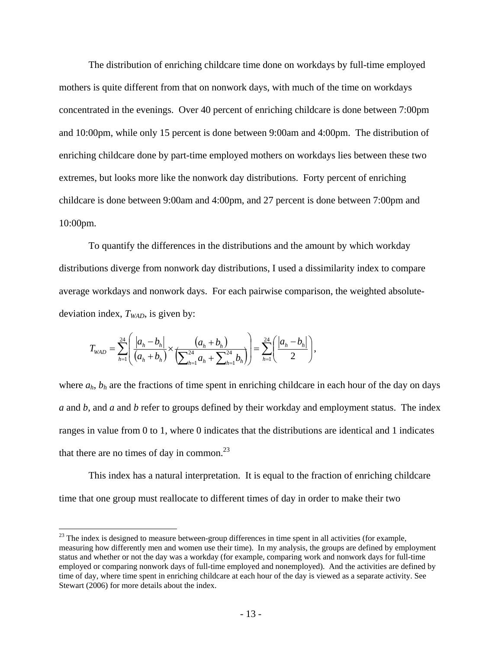The distribution of enriching childcare time done on workdays by full-time employed mothers is quite different from that on nonwork days, with much of the time on workdays concentrated in the evenings. Over 40 percent of enriching childcare is done between 7:00pm and 10:00pm, while only 15 percent is done between 9:00am and 4:00pm. The distribution of enriching childcare done by part-time employed mothers on workdays lies between these two extremes, but looks more like the nonwork day distributions. Forty percent of enriching childcare is done between 9:00am and 4:00pm, and 27 percent is done between 7:00pm and 10:00pm.

To quantify the differences in the distributions and the amount by which workday distributions diverge from nonwork day distributions, I used a dissimilarity index to compare average workdays and nonwork days. For each pairwise comparison, the weighted absolutedeviation index,  $T_{WAD}$ , is given by:

$$
T_{\text{WAD}} = \sum_{h=1}^{24} \left( \frac{|a_h - b_h|}{(a_h + b_h)} \times \frac{(a_h + b_h)}{\left(\sum_{h=1}^{24} a_h + \sum_{h=1}^{24} b_h\right)} \right) = \sum_{h=1}^{24} \left( \frac{|a_h - b_h|}{2} \right),
$$

1

where  $a_h$ ,  $b_h$  are the fractions of time spent in enriching childcare in each hour of the day on days *a* and *b*, and *a* and *b* refer to groups defined by their workday and employment status. The index ranges in value from 0 to 1, where 0 indicates that the distributions are identical and 1 indicates that there are no times of day in common.<sup>23</sup>

This index has a natural interpretation. It is equal to the fraction of enriching childcare time that one group must reallocate to different times of day in order to make their two

 $^{23}$  The index is designed to measure between-group differences in time spent in all activities (for example, measuring how differently men and women use their time). In my analysis, the groups are defined by employment status and whether or not the day was a workday (for example, comparing work and nonwork days for full-time employed or comparing nonwork days of full-time employed and nonemployed). And the activities are defined by time of day, where time spent in enriching childcare at each hour of the day is viewed as a separate activity. See Stewart (2006) for more details about the index.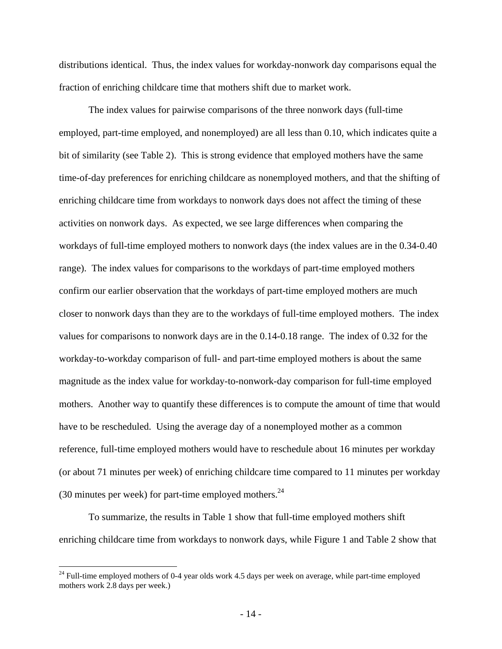distributions identical. Thus, the index values for workday-nonwork day comparisons equal the fraction of enriching childcare time that mothers shift due to market work.

The index values for pairwise comparisons of the three nonwork days (full-time employed, part-time employed, and nonemployed) are all less than 0.10, which indicates quite a bit of similarity (see Table 2). This is strong evidence that employed mothers have the same time-of-day preferences for enriching childcare as nonemployed mothers, and that the shifting of enriching childcare time from workdays to nonwork days does not affect the timing of these activities on nonwork days. As expected, we see large differences when comparing the workdays of full-time employed mothers to nonwork days (the index values are in the 0.34-0.40 range). The index values for comparisons to the workdays of part-time employed mothers confirm our earlier observation that the workdays of part-time employed mothers are much closer to nonwork days than they are to the workdays of full-time employed mothers. The index values for comparisons to nonwork days are in the 0.14-0.18 range. The index of 0.32 for the workday-to-workday comparison of full- and part-time employed mothers is about the same magnitude as the index value for workday-to-nonwork-day comparison for full-time employed mothers. Another way to quantify these differences is to compute the amount of time that would have to be rescheduled. Using the average day of a nonemployed mother as a common reference, full-time employed mothers would have to reschedule about 16 minutes per workday (or about 71 minutes per week) of enriching childcare time compared to 11 minutes per workday (30 minutes per week) for part-time employed mothers.  $24$ 

To summarize, the results in Table 1 show that full-time employed mothers shift enriching childcare time from workdays to nonwork days, while Figure 1 and Table 2 show that

1

 $24$  Full-time employed mothers of 0-4 year olds work 4.5 days per week on average, while part-time employed mothers work 2.8 days per week.)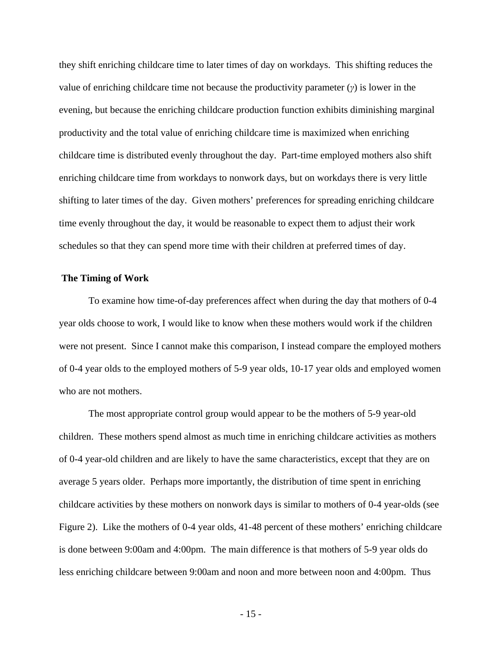they shift enriching childcare time to later times of day on workdays. This shifting reduces the value of enriching childcare time not because the productivity parameter (*γ*) is lower in the evening, but because the enriching childcare production function exhibits diminishing marginal productivity and the total value of enriching childcare time is maximized when enriching childcare time is distributed evenly throughout the day. Part-time employed mothers also shift enriching childcare time from workdays to nonwork days, but on workdays there is very little shifting to later times of the day. Given mothers' preferences for spreading enriching childcare time evenly throughout the day, it would be reasonable to expect them to adjust their work schedules so that they can spend more time with their children at preferred times of day.

#### **The Timing of Work**

To examine how time-of-day preferences affect when during the day that mothers of 0-4 year olds choose to work, I would like to know when these mothers would work if the children were not present. Since I cannot make this comparison, I instead compare the employed mothers of 0-4 year olds to the employed mothers of 5-9 year olds, 10-17 year olds and employed women who are not mothers.

The most appropriate control group would appear to be the mothers of 5-9 year-old children. These mothers spend almost as much time in enriching childcare activities as mothers of 0-4 year-old children and are likely to have the same characteristics, except that they are on average 5 years older. Perhaps more importantly, the distribution of time spent in enriching childcare activities by these mothers on nonwork days is similar to mothers of 0-4 year-olds (see Figure 2). Like the mothers of 0-4 year olds, 41-48 percent of these mothers' enriching childcare is done between 9:00am and 4:00pm. The main difference is that mothers of 5-9 year olds do less enriching childcare between 9:00am and noon and more between noon and 4:00pm. Thus

- 15 -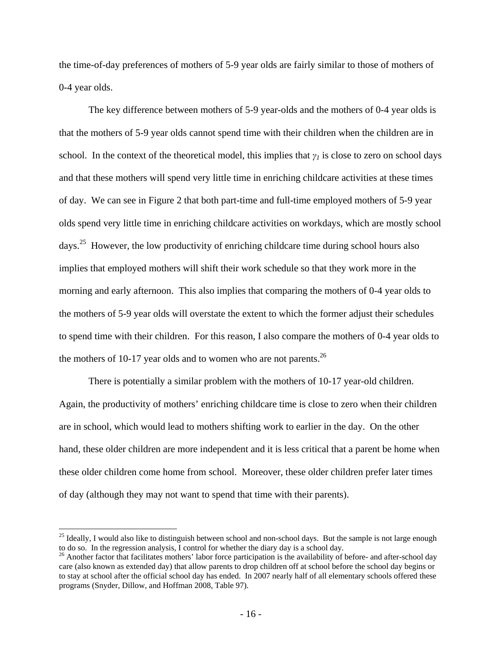the time-of-day preferences of mothers of 5-9 year olds are fairly similar to those of mothers of 0-4 year olds.

The key difference between mothers of 5-9 year-olds and the mothers of 0-4 year olds is that the mothers of 5-9 year olds cannot spend time with their children when the children are in school. In the context of the theoretical model, this implies that  $\gamma$ <sup>*I*</sup> is close to zero on school days and that these mothers will spend very little time in enriching childcare activities at these times of day. We can see in Figure 2 that both part-time and full-time employed mothers of 5-9 year olds spend very little time in enriching childcare activities on workdays, which are mostly school days.25 However, the low productivity of enriching childcare time during school hours also implies that employed mothers will shift their work schedule so that they work more in the morning and early afternoon. This also implies that comparing the mothers of 0-4 year olds to the mothers of 5-9 year olds will overstate the extent to which the former adjust their schedules to spend time with their children. For this reason, I also compare the mothers of 0-4 year olds to the mothers of 10-17 year olds and to women who are not parents.<sup>26</sup>

There is potentially a similar problem with the mothers of 10-17 year-old children. Again, the productivity of mothers' enriching childcare time is close to zero when their children are in school, which would lead to mothers shifting work to earlier in the day. On the other hand, these older children are more independent and it is less critical that a parent be home when these older children come home from school. Moreover, these older children prefer later times of day (although they may not want to spend that time with their parents).

1

<sup>&</sup>lt;sup>25</sup> Ideally, I would also like to distinguish between school and non-school days. But the sample is not large enough to do so. In the regression analysis, I control for whether the diary day is a school day.

<sup>&</sup>lt;sup>26</sup> Another factor that facilitates mothers' labor force participation is the availability of before- and after-school day care (also known as extended day) that allow parents to drop children off at school before the school day begins or to stay at school after the official school day has ended. In 2007 nearly half of all elementary schools offered these programs (Snyder, Dillow, and Hoffman 2008, Table 97).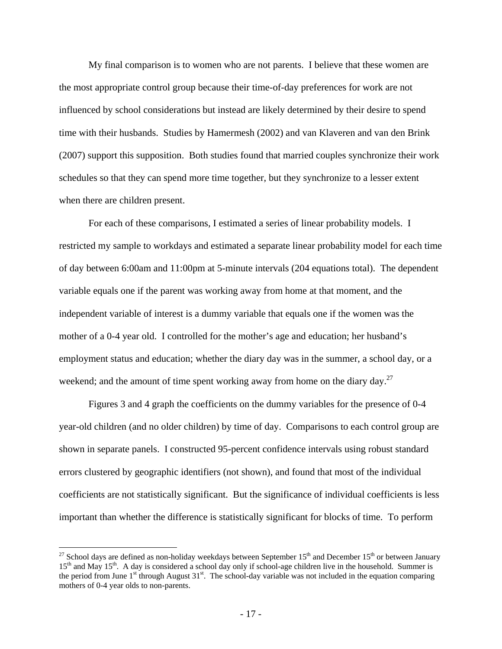My final comparison is to women who are not parents. I believe that these women are the most appropriate control group because their time-of-day preferences for work are not influenced by school considerations but instead are likely determined by their desire to spend time with their husbands. Studies by Hamermesh (2002) and van Klaveren and van den Brink (2007) support this supposition. Both studies found that married couples synchronize their work schedules so that they can spend more time together, but they synchronize to a lesser extent when there are children present.

For each of these comparisons, I estimated a series of linear probability models. I restricted my sample to workdays and estimated a separate linear probability model for each time of day between 6:00am and 11:00pm at 5-minute intervals (204 equations total). The dependent variable equals one if the parent was working away from home at that moment, and the independent variable of interest is a dummy variable that equals one if the women was the mother of a 0-4 year old. I controlled for the mother's age and education; her husband's employment status and education; whether the diary day was in the summer, a school day, or a weekend; and the amount of time spent working away from home on the diary day.<sup>27</sup>

Figures 3 and 4 graph the coefficients on the dummy variables for the presence of 0-4 year-old children (and no older children) by time of day. Comparisons to each control group are shown in separate panels. I constructed 95-percent confidence intervals using robust standard errors clustered by geographic identifiers (not shown), and found that most of the individual coefficients are not statistically significant. But the significance of individual coefficients is less important than whether the difference is statistically significant for blocks of time. To perform

<u>.</u>

<sup>&</sup>lt;sup>27</sup> School days are defined as non-holiday weekdays between September  $15<sup>th</sup>$  and December  $15<sup>th</sup>$  or between January 15<sup>th</sup> and May 15<sup>th</sup>. A day is considered a school day only if school-age children live in the household. Summer is the period from June 1<sup>st</sup> through August 31<sup>st</sup>. The school-day variable was not included in the equation comparing mothers of 0-4 year olds to non-parents.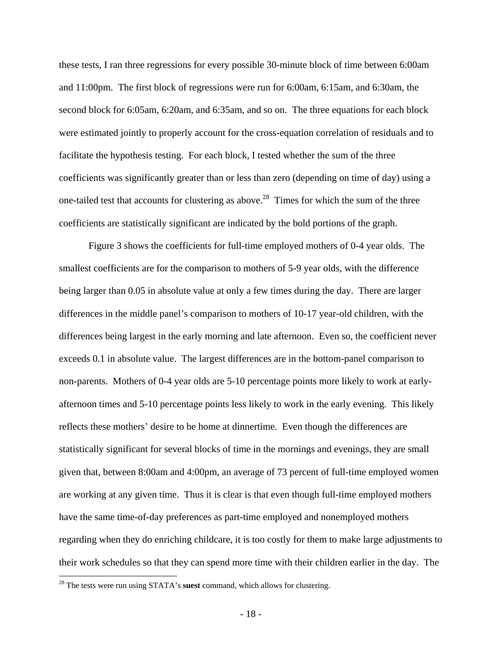these tests, I ran three regressions for every possible 30-minute block of time between 6:00am and 11:00pm. The first block of regressions were run for 6:00am, 6:15am, and 6:30am, the second block for 6:05am, 6:20am, and 6:35am, and so on. The three equations for each block were estimated jointly to properly account for the cross-equation correlation of residuals and to facilitate the hypothesis testing. For each block, I tested whether the sum of the three coefficients was significantly greater than or less than zero (depending on time of day) using a one-tailed test that accounts for clustering as above.<sup>28</sup> Times for which the sum of the three coefficients are statistically significant are indicated by the bold portions of the graph.

Figure 3 shows the coefficients for full-time employed mothers of 0-4 year olds. The smallest coefficients are for the comparison to mothers of 5-9 year olds, with the difference being larger than 0.05 in absolute value at only a few times during the day. There are larger differences in the middle panel's comparison to mothers of 10-17 year-old children, with the differences being largest in the early morning and late afternoon. Even so, the coefficient never exceeds 0.1 in absolute value. The largest differences are in the bottom-panel comparison to non-parents. Mothers of 0-4 year olds are 5-10 percentage points more likely to work at earlyafternoon times and 5-10 percentage points less likely to work in the early evening. This likely reflects these mothers' desire to be home at dinnertime. Even though the differences are statistically significant for several blocks of time in the mornings and evenings, they are small given that, between 8:00am and 4:00pm, an average of 73 percent of full-time employed women are working at any given time. Thus it is clear is that even though full-time employed mothers have the same time-of-day preferences as part-time employed and nonemployed mothers regarding when they do enriching childcare, it is too costly for them to make large adjustments to their work schedules so that they can spend more time with their children earlier in the day. The

 $\overline{a}$ 

<sup>28</sup> The tests were run using STATA's **suest** command, which allows for clustering.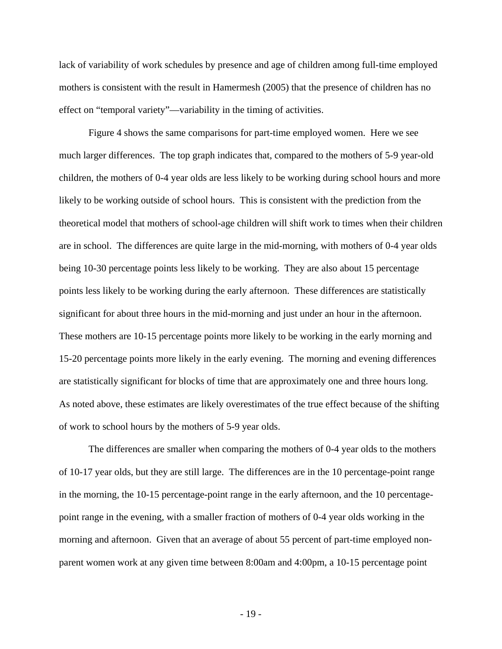lack of variability of work schedules by presence and age of children among full-time employed mothers is consistent with the result in Hamermesh (2005) that the presence of children has no effect on "temporal variety"—variability in the timing of activities.

Figure 4 shows the same comparisons for part-time employed women. Here we see much larger differences. The top graph indicates that, compared to the mothers of 5-9 year-old children, the mothers of 0-4 year olds are less likely to be working during school hours and more likely to be working outside of school hours. This is consistent with the prediction from the theoretical model that mothers of school-age children will shift work to times when their children are in school. The differences are quite large in the mid-morning, with mothers of 0-4 year olds being 10-30 percentage points less likely to be working. They are also about 15 percentage points less likely to be working during the early afternoon. These differences are statistically significant for about three hours in the mid-morning and just under an hour in the afternoon. These mothers are 10-15 percentage points more likely to be working in the early morning and 15-20 percentage points more likely in the early evening. The morning and evening differences are statistically significant for blocks of time that are approximately one and three hours long. As noted above, these estimates are likely overestimates of the true effect because of the shifting of work to school hours by the mothers of 5-9 year olds.

The differences are smaller when comparing the mothers of 0-4 year olds to the mothers of 10-17 year olds, but they are still large. The differences are in the 10 percentage-point range in the morning, the 10-15 percentage-point range in the early afternoon, and the 10 percentagepoint range in the evening, with a smaller fraction of mothers of 0-4 year olds working in the morning and afternoon. Given that an average of about 55 percent of part-time employed nonparent women work at any given time between 8:00am and 4:00pm, a 10-15 percentage point

- 19 -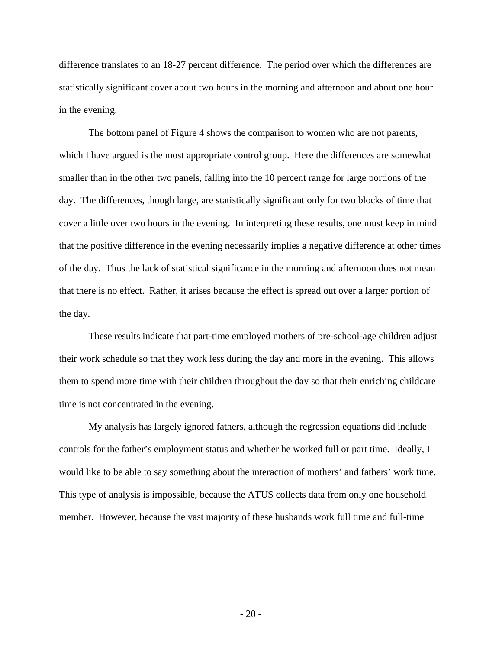difference translates to an 18-27 percent difference. The period over which the differences are statistically significant cover about two hours in the morning and afternoon and about one hour in the evening.

The bottom panel of Figure 4 shows the comparison to women who are not parents, which I have argued is the most appropriate control group. Here the differences are somewhat smaller than in the other two panels, falling into the 10 percent range for large portions of the day. The differences, though large, are statistically significant only for two blocks of time that cover a little over two hours in the evening. In interpreting these results, one must keep in mind that the positive difference in the evening necessarily implies a negative difference at other times of the day. Thus the lack of statistical significance in the morning and afternoon does not mean that there is no effect. Rather, it arises because the effect is spread out over a larger portion of the day.

These results indicate that part-time employed mothers of pre-school-age children adjust their work schedule so that they work less during the day and more in the evening. This allows them to spend more time with their children throughout the day so that their enriching childcare time is not concentrated in the evening.

My analysis has largely ignored fathers, although the regression equations did include controls for the father's employment status and whether he worked full or part time. Ideally, I would like to be able to say something about the interaction of mothers' and fathers' work time. This type of analysis is impossible, because the ATUS collects data from only one household member. However, because the vast majority of these husbands work full time and full-time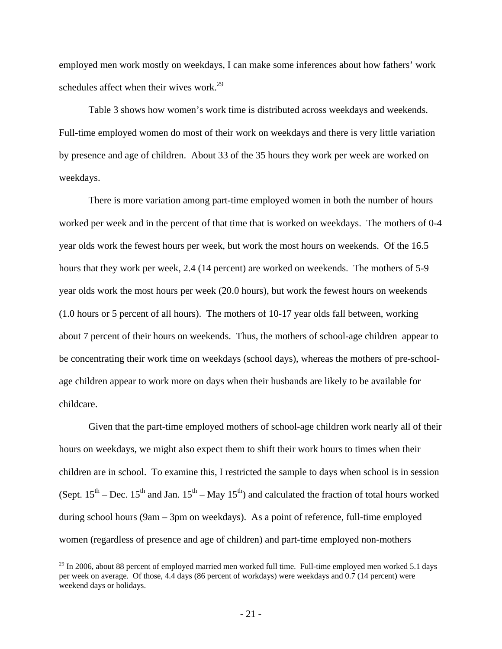employed men work mostly on weekdays, I can make some inferences about how fathers' work schedules affect when their wives work.<sup>29</sup>

Table 3 shows how women's work time is distributed across weekdays and weekends. Full-time employed women do most of their work on weekdays and there is very little variation by presence and age of children. About 33 of the 35 hours they work per week are worked on weekdays.

There is more variation among part-time employed women in both the number of hours worked per week and in the percent of that time that is worked on weekdays. The mothers of 0-4 year olds work the fewest hours per week, but work the most hours on weekends. Of the 16.5 hours that they work per week, 2.4 (14 percent) are worked on weekends. The mothers of 5-9 year olds work the most hours per week (20.0 hours), but work the fewest hours on weekends (1.0 hours or 5 percent of all hours). The mothers of 10-17 year olds fall between, working about 7 percent of their hours on weekends. Thus, the mothers of school-age children appear to be concentrating their work time on weekdays (school days), whereas the mothers of pre-schoolage children appear to work more on days when their husbands are likely to be available for childcare.

Given that the part-time employed mothers of school-age children work nearly all of their hours on weekdays, we might also expect them to shift their work hours to times when their children are in school. To examine this, I restricted the sample to days when school is in session (Sept.  $15^{th}$  – Dec.  $15^{th}$  and Jan.  $15^{th}$  – May  $15^{th}$ ) and calculated the fraction of total hours worked during school hours (9am – 3pm on weekdays). As a point of reference, full-time employed women (regardless of presence and age of children) and part-time employed non-mothers

1

 $^{29}$  In 2006, about 88 percent of employed married men worked full time. Full-time employed men worked 5.1 days per week on average. Of those, 4.4 days (86 percent of workdays) were weekdays and 0.7 (14 percent) were weekend days or holidays.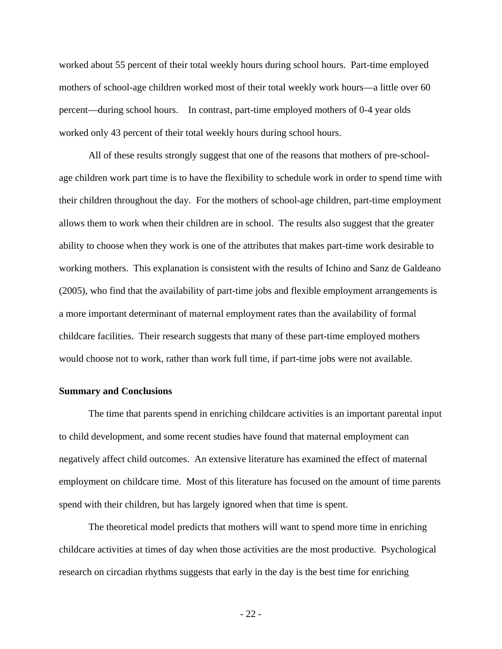worked about 55 percent of their total weekly hours during school hours. Part-time employed mothers of school-age children worked most of their total weekly work hours—a little over 60 percent—during school hours. In contrast, part-time employed mothers of 0-4 year olds worked only 43 percent of their total weekly hours during school hours.

All of these results strongly suggest that one of the reasons that mothers of pre-schoolage children work part time is to have the flexibility to schedule work in order to spend time with their children throughout the day. For the mothers of school-age children, part-time employment allows them to work when their children are in school. The results also suggest that the greater ability to choose when they work is one of the attributes that makes part-time work desirable to working mothers. This explanation is consistent with the results of Ichino and Sanz de Galdeano (2005), who find that the availability of part-time jobs and flexible employment arrangements is a more important determinant of maternal employment rates than the availability of formal childcare facilities. Their research suggests that many of these part-time employed mothers would choose not to work, rather than work full time, if part-time jobs were not available.

## **Summary and Conclusions**

The time that parents spend in enriching childcare activities is an important parental input to child development, and some recent studies have found that maternal employment can negatively affect child outcomes. An extensive literature has examined the effect of maternal employment on childcare time. Most of this literature has focused on the amount of time parents spend with their children, but has largely ignored when that time is spent.

The theoretical model predicts that mothers will want to spend more time in enriching childcare activities at times of day when those activities are the most productive. Psychological research on circadian rhythms suggests that early in the day is the best time for enriching

- 22 -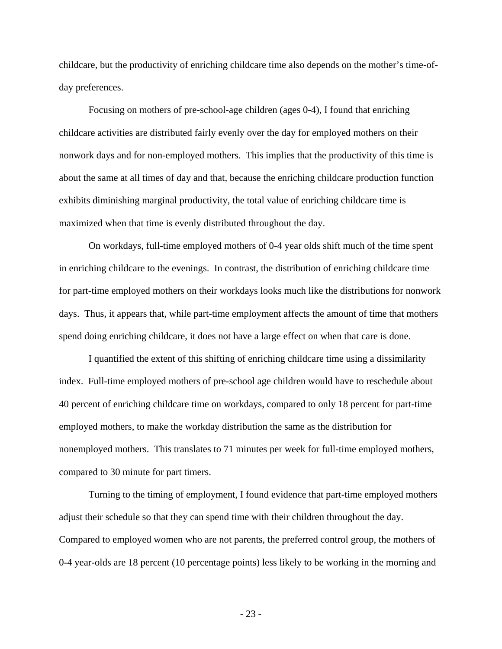childcare, but the productivity of enriching childcare time also depends on the mother's time-ofday preferences.

Focusing on mothers of pre-school-age children (ages 0-4), I found that enriching childcare activities are distributed fairly evenly over the day for employed mothers on their nonwork days and for non-employed mothers. This implies that the productivity of this time is about the same at all times of day and that, because the enriching childcare production function exhibits diminishing marginal productivity, the total value of enriching childcare time is maximized when that time is evenly distributed throughout the day.

On workdays, full-time employed mothers of 0-4 year olds shift much of the time spent in enriching childcare to the evenings. In contrast, the distribution of enriching childcare time for part-time employed mothers on their workdays looks much like the distributions for nonwork days. Thus, it appears that, while part-time employment affects the amount of time that mothers spend doing enriching childcare, it does not have a large effect on when that care is done.

I quantified the extent of this shifting of enriching childcare time using a dissimilarity index. Full-time employed mothers of pre-school age children would have to reschedule about 40 percent of enriching childcare time on workdays, compared to only 18 percent for part-time employed mothers, to make the workday distribution the same as the distribution for nonemployed mothers. This translates to 71 minutes per week for full-time employed mothers, compared to 30 minute for part timers.

Turning to the timing of employment, I found evidence that part-time employed mothers adjust their schedule so that they can spend time with their children throughout the day. Compared to employed women who are not parents, the preferred control group, the mothers of 0-4 year-olds are 18 percent (10 percentage points) less likely to be working in the morning and

- 23 -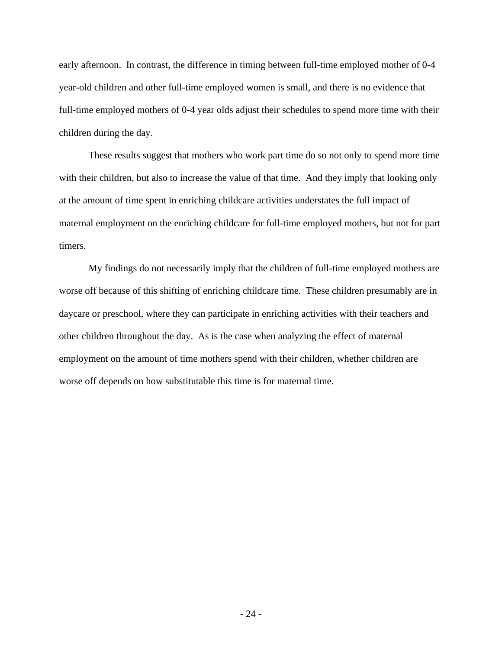early afternoon. In contrast, the difference in timing between full-time employed mother of 0-4 year-old children and other full-time employed women is small, and there is no evidence that full-time employed mothers of 0-4 year olds adjust their schedules to spend more time with their children during the day.

These results suggest that mothers who work part time do so not only to spend more time with their children, but also to increase the value of that time. And they imply that looking only at the amount of time spent in enriching childcare activities understates the full impact of maternal employment on the enriching childcare for full-time employed mothers, but not for part timers.

My findings do not necessarily imply that the children of full-time employed mothers are worse off because of this shifting of enriching childcare time. These children presumably are in daycare or preschool, where they can participate in enriching activities with their teachers and other children throughout the day. As is the case when analyzing the effect of maternal employment on the amount of time mothers spend with their children, whether children are worse off depends on how substitutable this time is for maternal time.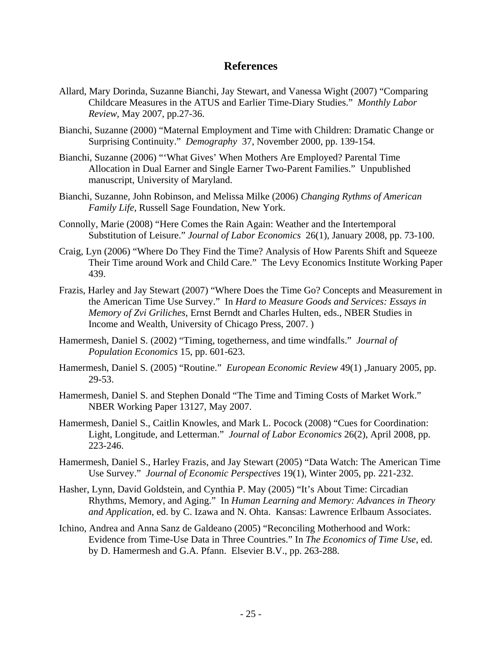# **References**

- Allard, Mary Dorinda, Suzanne Bianchi, Jay Stewart, and Vanessa Wight (2007) "Comparing Childcare Measures in the ATUS and Earlier Time-Diary Studies." *Monthly Labor Review*, May 2007, pp.27-36.
- Bianchi, Suzanne (2000) "Maternal Employment and Time with Children: Dramatic Change or Surprising Continuity." *Demography* 37, November 2000, pp. 139-154.
- Bianchi, Suzanne (2006) "'What Gives' When Mothers Are Employed? Parental Time Allocation in Dual Earner and Single Earner Two-Parent Families." Unpublished manuscript, University of Maryland.
- Bianchi, Suzanne, John Robinson, and Melissa Milke (2006) *Changing Rythms of American Family Life*, Russell Sage Foundation, New York.
- Connolly, Marie (2008) "Here Comes the Rain Again: Weather and the Intertemporal Substitution of Leisure." *Journal of Labor Economics* 26(1), January 2008, pp. 73-100.
- Craig, Lyn (2006) "Where Do They Find the Time? Analysis of How Parents Shift and Squeeze Their Time around Work and Child Care." The Levy Economics Institute Working Paper 439.
- Frazis, Harley and Jay Stewart (2007) "Where Does the Time Go? Concepts and Measurement in the American Time Use Survey." In *Hard to Measure Goods and Services: Essays in Memory of Zvi Griliches*, Ernst Berndt and Charles Hulten, eds., NBER Studies in Income and Wealth, University of Chicago Press, 2007. )
- Hamermesh, Daniel S. (2002) "Timing, togetherness, and time windfalls." *Journal of Population Economics* 15, pp. 601-623.
- Hamermesh, Daniel S. (2005) "Routine." *European Economic Review* 49(1) ,January 2005, pp. 29-53.
- Hamermesh, Daniel S. and Stephen Donald "The Time and Timing Costs of Market Work." NBER Working Paper 13127, May 2007.
- Hamermesh, Daniel S., Caitlin Knowles, and Mark L. Pocock (2008) "Cues for Coordination: Light, Longitude, and Letterman." *Journal of Labor Economics* 26(2), April 2008, pp. 223-246.
- Hamermesh, Daniel S., Harley Frazis, and Jay Stewart (2005) "Data Watch: The American Time Use Survey." *Journal of Economic Perspectives* 19(1), Winter 2005, pp. 221-232.
- Hasher, Lynn, David Goldstein, and Cynthia P. May (2005) "It's About Time: Circadian Rhythms, Memory, and Aging." In *Human Learning and Memory: Advances in Theory and Application*, ed. by C. Izawa and N. Ohta. Kansas: Lawrence Erlbaum Associates.
- Ichino, Andrea and Anna Sanz de Galdeano (2005) "Reconciling Motherhood and Work: Evidence from Time-Use Data in Three Countries." In *The Economics of Time Use*, ed. by D. Hamermesh and G.A. Pfann. Elsevier B.V., pp. 263-288.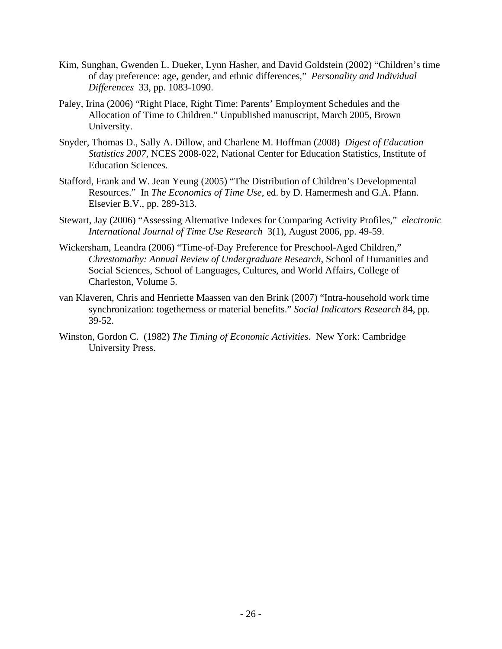- Kim, Sunghan, Gwenden L. Dueker, Lynn Hasher, and David Goldstein (2002) "Children's time of day preference: age, gender, and ethnic differences," *Personality and Individual Differences* 33, pp. 1083-1090.
- Paley, Irina (2006) "Right Place, Right Time: Parents' Employment Schedules and the Allocation of Time to Children." Unpublished manuscript, March 2005, Brown University.
- Snyder, Thomas D., Sally A. Dillow, and Charlene M. Hoffman (2008) *Digest of Education Statistics 2007*, NCES 2008-022, National Center for Education Statistics, Institute of Education Sciences.
- Stafford, Frank and W. Jean Yeung (2005) "The Distribution of Children's Developmental Resources." In *The Economics of Time Use*, ed. by D. Hamermesh and G.A. Pfann. Elsevier B.V., pp. 289-313.
- Stewart, Jay (2006) "Assessing Alternative Indexes for Comparing Activity Profiles," *electronic International Journal of Time Use Research* 3(1), August 2006, pp. 49-59.
- Wickersham, Leandra (2006) "Time-of-Day Preference for Preschool-Aged Children," *Chrestomathy: Annual Review of Undergraduate Research*, School of Humanities and Social Sciences, School of Languages, Cultures, and World Affairs, College of Charleston, Volume 5.
- van Klaveren, Chris and Henriette Maassen van den Brink (2007) "Intra-household work time synchronization: togetherness or material benefits." *Social Indicators Research* 84, pp. 39-52.
- Winston, Gordon C. (1982) *The Timing of Economic Activities*. New York: Cambridge University Press.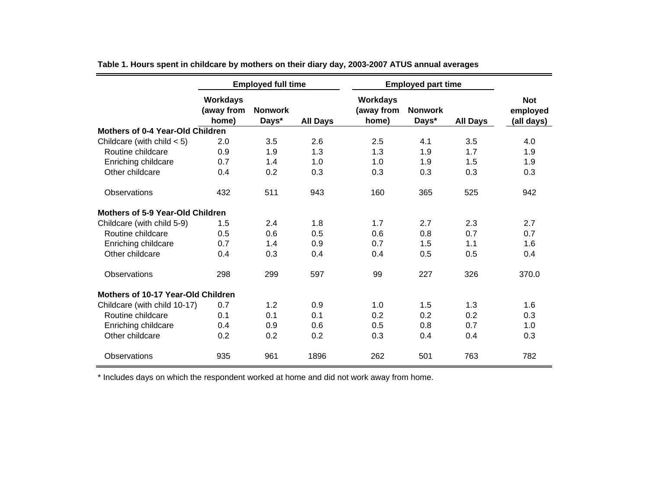|                                         | <b>Employed full time</b>              |                         |                 | <b>Employed part time</b>              |                         |                 |                                      |
|-----------------------------------------|----------------------------------------|-------------------------|-----------------|----------------------------------------|-------------------------|-----------------|--------------------------------------|
|                                         | <b>Workdays</b><br>(away from<br>home) | <b>Nonwork</b><br>Days* | <b>All Days</b> | <b>Workdays</b><br>(away from<br>home) | <b>Nonwork</b><br>Days* | <b>All Days</b> | <b>Not</b><br>employed<br>(all days) |
| <b>Mothers of 0-4 Year-Old Children</b> |                                        |                         |                 |                                        |                         |                 |                                      |
| Childcare (with child $<$ 5)            | 2.0                                    | 3.5                     | 2.6             | 2.5                                    | 4.1                     | 3.5             | 4.0                                  |
| Routine childcare                       | 0.9                                    | 1.9                     | 1.3             | 1.3                                    | 1.9                     | 1.7             | 1.9                                  |
| Enriching childcare                     | 0.7                                    | 1.4                     | 1.0             | 1.0                                    | 1.9                     | 1.5             | 1.9                                  |
| Other childcare                         | 0.4                                    | 0.2                     | 0.3             | 0.3                                    | 0.3                     | 0.3             | 0.3                                  |
| Observations                            | 432                                    | 511                     | 943             | 160                                    | 365                     | 525             | 942                                  |
| <b>Mothers of 5-9 Year-Old Children</b> |                                        |                         |                 |                                        |                         |                 |                                      |
| Childcare (with child 5-9)              | 1.5                                    | 2.4                     | 1.8             | 1.7                                    | 2.7                     | 2.3             | 2.7                                  |
| Routine childcare                       | 0.5                                    | 0.6                     | 0.5             | 0.6                                    | 0.8                     | 0.7             | 0.7                                  |
| Enriching childcare                     | 0.7                                    | 1.4                     | 0.9             | 0.7                                    | 1.5                     | 1.1             | 1.6                                  |
| Other childcare                         | 0.4                                    | 0.3                     | 0.4             | 0.4                                    | 0.5                     | 0.5             | 0.4                                  |
| Observations                            | 298                                    | 299                     | 597             | 99                                     | 227                     | 326             | 370.0                                |
| Mothers of 10-17 Year-Old Children      |                                        |                         |                 |                                        |                         |                 |                                      |
| Childcare (with child 10-17)            | 0.7                                    | 1.2                     | 0.9             | 1.0                                    | 1.5                     | 1.3             | 1.6                                  |
| Routine childcare                       | 0.1                                    | 0.1                     | 0.1             | 0.2                                    | 0.2                     | 0.2             | 0.3                                  |
| Enriching childcare                     | 0.4                                    | 0.9                     | 0.6             | 0.5                                    | 0.8                     | 0.7             | 1.0                                  |
| Other childcare                         | 0.2                                    | 0.2                     | 0.2             | 0.3                                    | 0.4                     | 0.4             | 0.3                                  |
| Observations                            | 935                                    | 961                     | 1896            | 262                                    | 501                     | 763             | 782                                  |

**Table 1. Hours spent in childcare by mothers on their diary day, 2003-2007 ATUS annual averages**

\* Includes days on which the respondent worked at home and did not work away from home.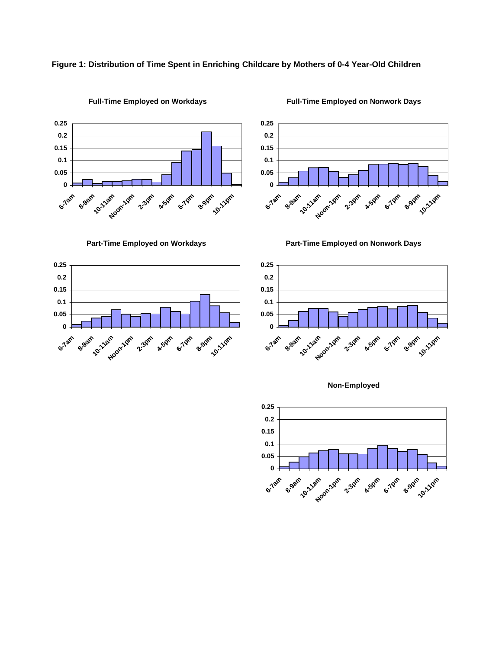## **Figure 1: Distribution of Time Spent in Enriching Childcare by Mothers of 0-4 Year-Old Children**



**Full-Time Employed on Workdays**

**Full-Time Employed on Nonwork Days**



**Part-Time Employed on Workdays**



**Part-Time Employed on Nonwork Days**





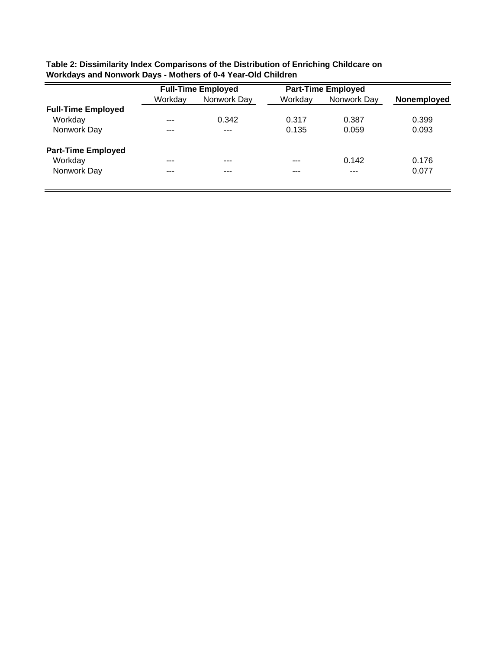|                           |         | <b>Full-Time Employed</b> | <b>Part-Time Employed</b> |             |             |  |
|---------------------------|---------|---------------------------|---------------------------|-------------|-------------|--|
|                           | Workday | Nonwork Day               | Workday                   | Nonwork Day | Nonemployed |  |
| <b>Full-Time Employed</b> |         |                           |                           |             |             |  |
| Workday                   | $- - -$ | 0.342                     | 0.317                     | 0.387       | 0.399       |  |
| Nonwork Day               | ---     | $- - -$                   | 0.135                     | 0.059       | 0.093       |  |
| <b>Part-Time Employed</b> |         |                           |                           |             |             |  |
| Workday                   | ---     |                           | ---                       | 0.142       | 0.176       |  |
| Nonwork Day               | ---     | ---                       | ---                       | ---         | 0.077       |  |

| Table 2: Dissimilarity Index Comparisons of the Distribution of Enriching Childcare on |
|----------------------------------------------------------------------------------------|
| Workdays and Nonwork Days - Mothers of 0-4 Year-Old Children                           |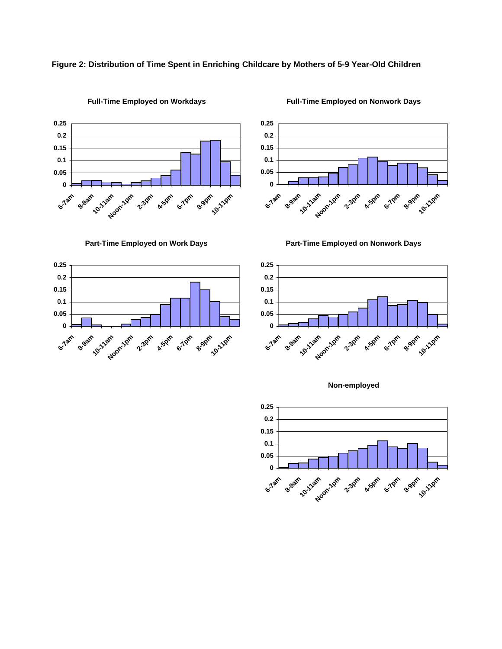## **Figure 2: Distribution of Time Spent in Enriching Childcare by Mothers of 5-9 Year-Old Children**



**Full-Time Employed on Workdays**

**Full-Time Employed on Nonwork Days**



**Part-Time Employed on Work Days**



**Part-Time Employed on Nonwork Days**





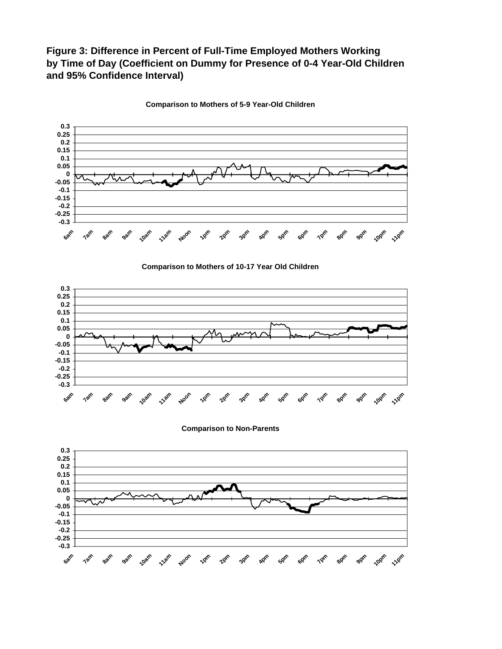# **Figure 3: Difference in Percent of Full-Time Employed Mothers Working by Time of Day (Coefficient on Dummy for Presence of 0-4 Year-Old Children and 95% Confidence Interval)**



**Comparison to Mothers of 5-9 Year-Old Children**





**Comparison to Non-Parents**

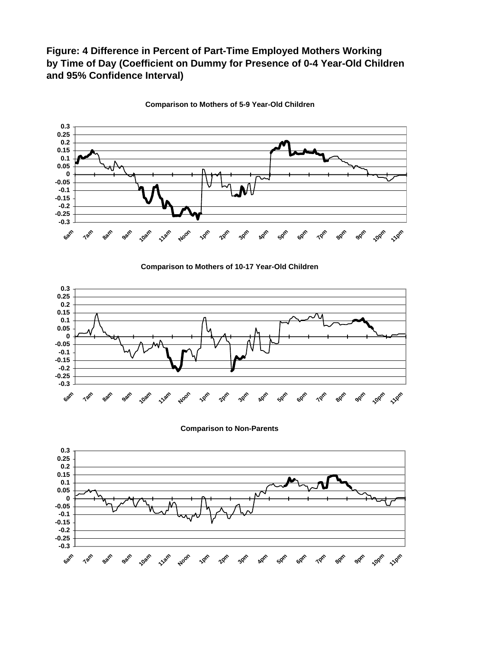# **Figure: 4 Difference in Percent of Part-Time Employed Mothers Working by Time of Day (Coefficient on Dummy for Presence of 0-4 Year-Old Children and 95% Confidence Interval)**



**Comparison to Mothers of 5-9 Year-Old Children**

**Comparison to Mothers of 10-17 Year-Old Children**



**Comparison to Non-Parents**

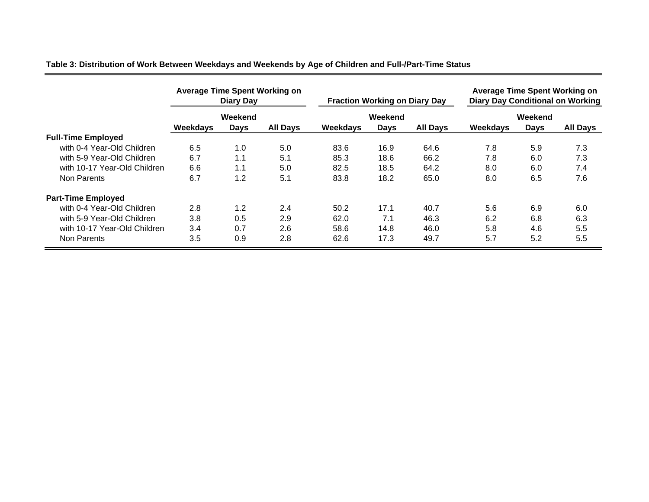# **Table 3: Distribution of Work Between Weekdays and Weekends by Age of Children and Full-/Part-Time Status**

|                              | <b>Average Time Spent Working on</b><br>Diary Day |             |                 | <b>Fraction Working on Diary Day</b> |             |                 | <b>Average Time Spent Working on</b><br><b>Diary Day Conditional on Working</b> |             |                 |
|------------------------------|---------------------------------------------------|-------------|-----------------|--------------------------------------|-------------|-----------------|---------------------------------------------------------------------------------|-------------|-----------------|
|                              | Weekend                                           |             |                 | Weekend                              |             |                 | Weekend                                                                         |             |                 |
|                              | Weekdays                                          | <b>Days</b> | <b>All Days</b> | Weekdays                             | <b>Days</b> | <b>All Days</b> | Weekdays                                                                        | <b>Days</b> | <b>All Days</b> |
| <b>Full-Time Employed</b>    |                                                   |             |                 |                                      |             |                 |                                                                                 |             |                 |
| with 0-4 Year-Old Children   | 6.5                                               | 1.0         | 5.0             | 83.6                                 | 16.9        | 64.6            | 7.8                                                                             | 5.9         | 7.3             |
| with 5-9 Year-Old Children   | 6.7                                               | 1.1         | 5.1             | 85.3                                 | 18.6        | 66.2            | 7.8                                                                             | 6.0         | 7.3             |
| with 10-17 Year-Old Children | 6.6                                               | 1.1         | 5.0             | 82.5                                 | 18.5        | 64.2            | 8.0                                                                             | 6.0         | 7.4             |
| Non Parents                  | 6.7                                               | 1.2         | 5.1             | 83.8                                 | 18.2        | 65.0            | 8.0                                                                             | 6.5         | 7.6             |
| <b>Part-Time Employed</b>    |                                                   |             |                 |                                      |             |                 |                                                                                 |             |                 |
| with 0-4 Year-Old Children   | 2.8                                               | 1.2         | 2.4             | 50.2                                 | 17.1        | 40.7            | 5.6                                                                             | 6.9         | 6.0             |
| with 5-9 Year-Old Children   | 3.8                                               | 0.5         | 2.9             | 62.0                                 | 7.1         | 46.3            | 6.2                                                                             | 6.8         | 6.3             |
| with 10-17 Year-Old Children | 3.4                                               | 0.7         | 2.6             | 58.6                                 | 14.8        | 46.0            | 5.8                                                                             | 4.6         | 5.5             |
| Non Parents                  | 3.5                                               | 0.9         | 2.8             | 62.6                                 | 17.3        | 49.7            | 5.7                                                                             | 5.2         | 5.5             |